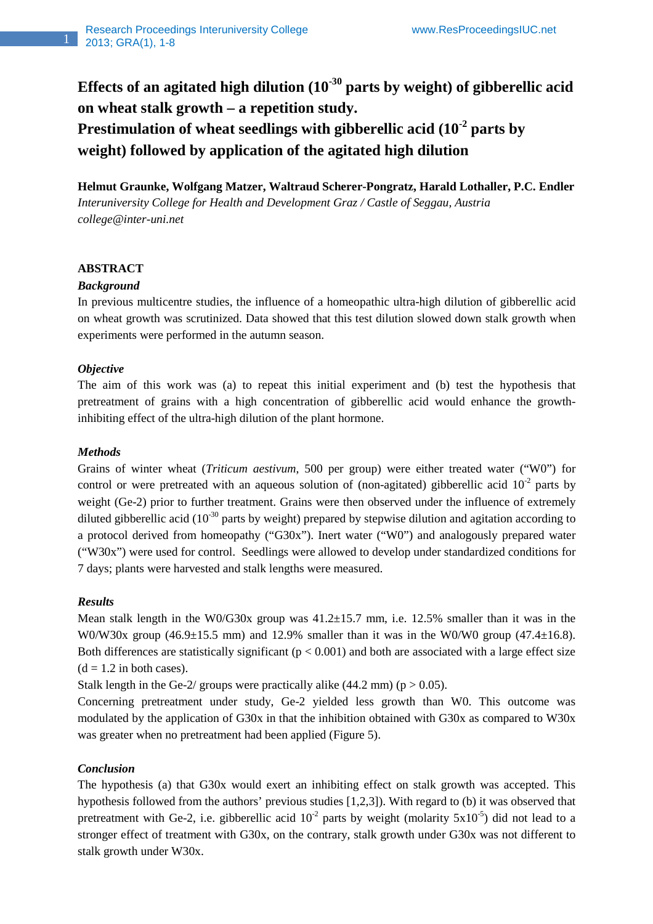**Effects of an agitated high dilution (10-30 parts by weight) of gibberellic acid on wheat stalk growth – a repetition study.** 

**Prestimulation of wheat seedlings with gibberellic acid (10-2 parts by weight) followed by application of the agitated high dilution** 

**Helmut Graunke, Wolfgang Matzer, Waltraud Scherer-Pongratz, Harald Lothaller, P.C. Endler**  *Interuniversity College for Health and Development Graz / Castle of Seggau, Austria college@inter-uni.net* 

## **ABSTRACT**

## *Background*

In previous multicentre studies, the influence of a homeopathic ultra-high dilution of gibberellic acid on wheat growth was scrutinized. Data showed that this test dilution slowed down stalk growth when experiments were performed in the autumn season.

## *Objective*

The aim of this work was (a) to repeat this initial experiment and (b) test the hypothesis that pretreatment of grains with a high concentration of gibberellic acid would enhance the growthinhibiting effect of the ultra-high dilution of the plant hormone.

# *Methods*

Grains of winter wheat (*Triticum aestivum*, 500 per group) were either treated water ("W0") for control or were pretreated with an aqueous solution of (non-agitated) gibberellic acid  $10^{-2}$  parts by weight (Ge-2) prior to further treatment. Grains were then observed under the influence of extremely diluted gibberellic acid ( $10^{-30}$  parts by weight) prepared by stepwise dilution and agitation according to a protocol derived from homeopathy ("G30x"). Inert water ("W0") and analogously prepared water ("W30x") were used for control. Seedlings were allowed to develop under standardized conditions for 7 days; plants were harvested and stalk lengths were measured.

## *Results*

Mean stalk length in the W0/G30x group was  $41.2 \pm 15.7$  mm, i.e. 12.5% smaller than it was in the W0/W30x group  $(46.9\pm15.5 \text{ mm})$  and 12.9% smaller than it was in the W0/W0 group  $(47.4\pm16.8)$ . Both differences are statistically significant ( $p < 0.001$ ) and both are associated with a large effect size  $(d = 1.2$  in both cases).

Stalk length in the Ge-2/ groups were practically alike (44.2 mm) ( $p > 0.05$ ).

Concerning pretreatment under study, Ge-2 yielded less growth than W0. This outcome was modulated by the application of G30x in that the inhibition obtained with G30x as compared to W30x was greater when no pretreatment had been applied (Figure 5).

# *Conclusion*

The hypothesis (a) that G30x would exert an inhibiting effect on stalk growth was accepted. This hypothesis followed from the authors' previous studies [1,2,3]). With regard to (b) it was observed that pretreatment with Ge-2, i.e. gibberellic acid  $10^{-2}$  parts by weight (molarity  $5x10^{-5}$ ) did not lead to a stronger effect of treatment with G30x, on the contrary, stalk growth under G30x was not different to stalk growth under W30x.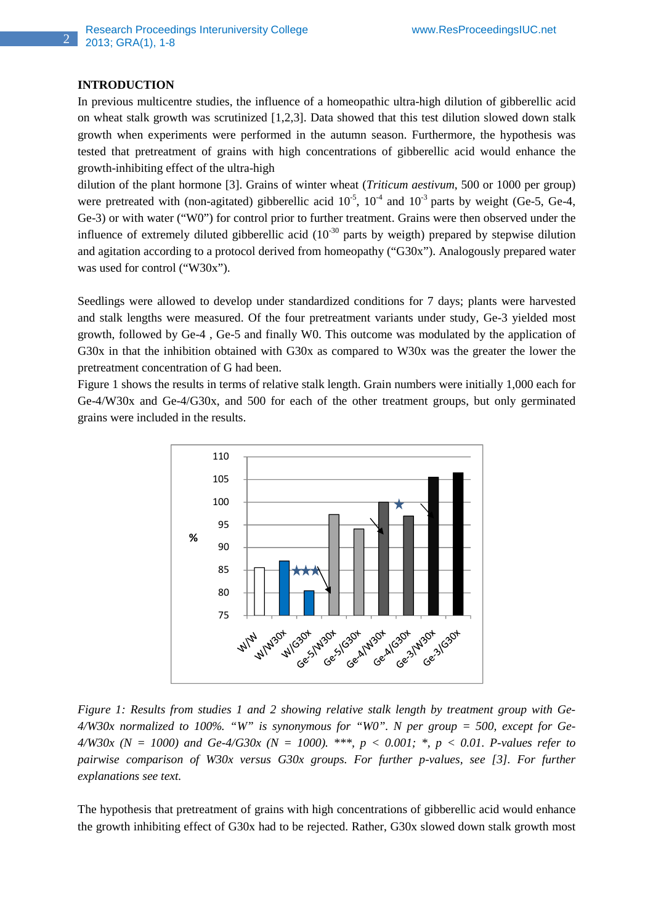#### **INTRODUCTION**

2

In previous multicentre studies, the influence of a homeopathic ultra-high dilution of gibberellic acid on wheat stalk growth was scrutinized [1,2,3]. Data showed that this test dilution slowed down stalk growth when experiments were performed in the autumn season. Furthermore, the hypothesis was tested that pretreatment of grains with high concentrations of gibberellic acid would enhance the growth-inhibiting effect of the ultra-high

dilution of the plant hormone [3]. Grains of winter wheat (*Triticum aestivum*, 500 or 1000 per group) were pretreated with (non-agitated) gibberellic acid  $10^{-5}$ ,  $10^{-4}$  and  $10^{-3}$  parts by weight (Ge-5, Ge-4, Ge-3) or with water ("W0") for control prior to further treatment. Grains were then observed under the influence of extremely diluted gibberellic acid  $(10^{-30}$  parts by weigth) prepared by stepwise dilution and agitation according to a protocol derived from homeopathy ("G30x"). Analogously prepared water was used for control ("W30x").

Seedlings were allowed to develop under standardized conditions for 7 days; plants were harvested and stalk lengths were measured. Of the four pretreatment variants under study, Ge-3 yielded most growth, followed by Ge-4 , Ge-5 and finally W0. This outcome was modulated by the application of G30x in that the inhibition obtained with G30x as compared to W30x was the greater the lower the pretreatment concentration of G had been.

Figure 1 shows the results in terms of relative stalk length. Grain numbers were initially 1,000 each for Ge-4/W30x and Ge-4/G30x, and 500 for each of the other treatment groups, but only germinated grains were included in the results.



*Figure 1: Results from studies 1 and 2 showing relative stalk length by treatment group with Ge-4/W30x normalized to 100%. "W" is synonymous for "W0". N per group = 500, except for Ge-4/W30x (N = 1000) and Ge-4/G30x (N = 1000). \*\*\*, p < 0.001; \*, p < 0.01. P-values refer to pairwise comparison of W30x versus G30x groups. For further p-values, see [3]. For further explanations see text.* 

The hypothesis that pretreatment of grains with high concentrations of gibberellic acid would enhance the growth inhibiting effect of G30x had to be rejected. Rather, G30x slowed down stalk growth most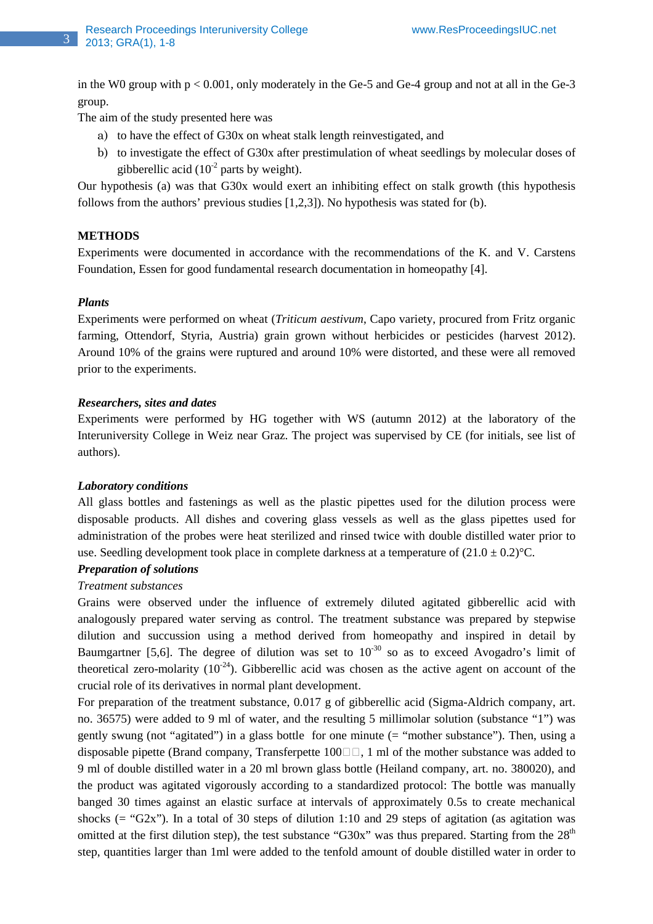in the W0 group with  $p < 0.001$ , only moderately in the Ge-5 and Ge-4 group and not at all in the Ge-3 group.

The aim of the study presented here was

- a) to have the effect of G30x on wheat stalk length reinvestigated, and
- b) to investigate the effect of G30x after prestimulation of wheat seedlings by molecular doses of gibberellic acid  $(10^{-2}$  parts by weight).

Our hypothesis (a) was that G30x would exert an inhibiting effect on stalk growth (this hypothesis follows from the authors' previous studies [1,2,3]). No hypothesis was stated for (b).

## **METHODS**

Experiments were documented in accordance with the recommendations of the K. and V. Carstens Foundation, Essen for good fundamental research documentation in homeopathy [4].

#### *Plants*

3

Experiments were performed on wheat (*Triticum aestivum*, Capo variety, procured from Fritz organic farming, Ottendorf, Styria, Austria) grain grown without herbicides or pesticides (harvest 2012). Around 10% of the grains were ruptured and around 10% were distorted, and these were all removed prior to the experiments.

#### *Researchers, sites and dates*

Experiments were performed by HG together with WS (autumn 2012) at the laboratory of the Interuniversity College in Weiz near Graz. The project was supervised by CE (for initials, see list of authors).

#### *Laboratory conditions*

All glass bottles and fastenings as well as the plastic pipettes used for the dilution process were disposable products. All dishes and covering glass vessels as well as the glass pipettes used for administration of the probes were heat sterilized and rinsed twice with double distilled water prior to use. Seedling development took place in complete darkness at a temperature of  $(21.0 \pm 0.2)$ °C.

# *Preparation of solutions*

#### *Treatment substances*

Grains were observed under the influence of extremely diluted agitated gibberellic acid with analogously prepared water serving as control. The treatment substance was prepared by stepwise dilution and succussion using a method derived from homeopathy and inspired in detail by Baumgartner [5,6]. The degree of dilution was set to  $10^{-30}$  so as to exceed Avogadro's limit of theoretical zero-molarity  $(10^{-24})$ . Gibberellic acid was chosen as the active agent on account of the crucial role of its derivatives in normal plant development.

For preparation of the treatment substance, 0.017 g of gibberellic acid (Sigma-Aldrich company, art. no. 36575) were added to 9 ml of water, and the resulting 5 millimolar solution (substance "1") was gently swung (not "agitated") in a glass bottle for one minute (= "mother substance"). Then, using a disposable pipette (Brand company, Transferpette 100, 1 ml of the mother substance was added to 9 ml of double distilled water in a 20 ml brown glass bottle (Heiland company, art. no. 380020), and the product was agitated vigorously according to a standardized protocol: The bottle was manually banged 30 times against an elastic surface at intervals of approximately 0.5s to create mechanical shocks ( $=$  "G2x"). In a total of 30 steps of dilution 1:10 and 29 steps of agitation (as agitation was omitted at the first dilution step), the test substance "G30x" was thus prepared. Starting from the  $28<sup>th</sup>$ step, quantities larger than 1ml were added to the tenfold amount of double distilled water in order to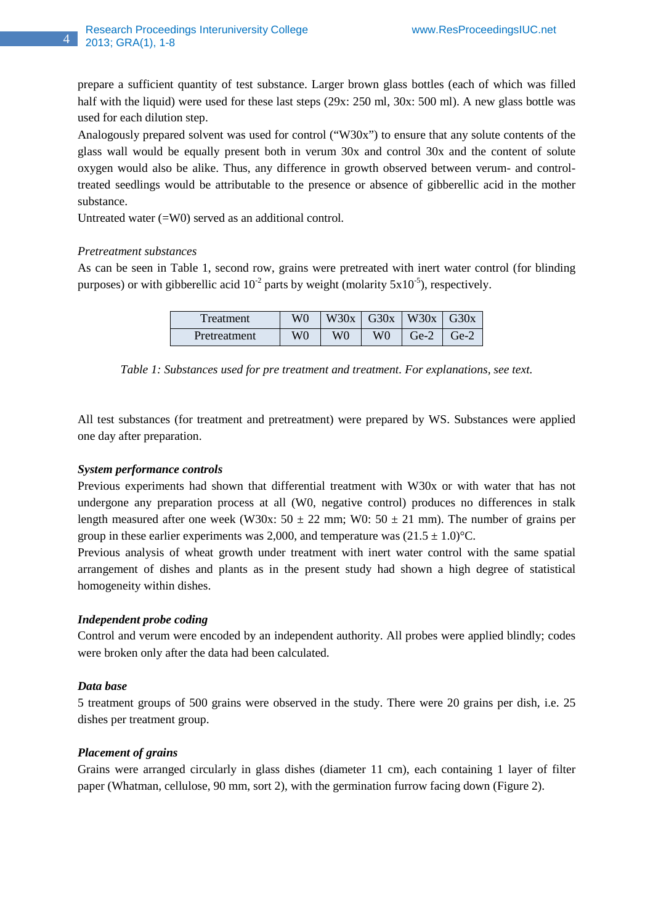prepare a sufficient quantity of test substance. Larger brown glass bottles (each of which was filled half with the liquid) were used for these last steps (29x: 250 ml, 30x: 500 ml). A new glass bottle was used for each dilution step.

Analogously prepared solvent was used for control ("W30x") to ensure that any solute contents of the glass wall would be equally present both in verum 30x and control 30x and the content of solute oxygen would also be alike. Thus, any difference in growth observed between verum- and controltreated seedlings would be attributable to the presence or absence of gibberellic acid in the mother substance.

Untreated water (=W0) served as an additional control.

## *Pretreatment substances*

4

As can be seen in Table 1, second row, grains were pretreated with inert water control (for blinding purposes) or with gibberellic acid  $10^{-2}$  parts by weight (molarity  $5x10^{-5}$ ), respectively.

| Treatment    | W۵ |    | $W30x$ G30x W30x |        | G30x              |
|--------------|----|----|------------------|--------|-------------------|
| Pretreatment | W0 | W0 | W0               | $Ge-2$ | $\rm Ge\text{-}2$ |

*Table 1: Substances used for pre treatment and treatment. For explanations, see text.* 

All test substances (for treatment and pretreatment) were prepared by WS. Substances were applied one day after preparation.

# *System performance controls*

Previous experiments had shown that differential treatment with W30x or with water that has not undergone any preparation process at all (W0, negative control) produces no differences in stalk length measured after one week (W30x:  $50 \pm 22$  mm; W0:  $50 \pm 21$  mm). The number of grains per group in these earlier experiments was 2,000, and temperature was  $(21.5 \pm 1.0)$ °C.

Previous analysis of wheat growth under treatment with inert water control with the same spatial arrangement of dishes and plants as in the present study had shown a high degree of statistical homogeneity within dishes.

## *Independent probe coding*

Control and verum were encoded by an independent authority. All probes were applied blindly; codes were broken only after the data had been calculated.

## *Data base*

5 treatment groups of 500 grains were observed in the study. There were 20 grains per dish, i.e. 25 dishes per treatment group.

## *Placement of grains*

Grains were arranged circularly in glass dishes (diameter 11 cm), each containing 1 layer of filter paper (Whatman, cellulose, 90 mm, sort 2), with the germination furrow facing down (Figure 2).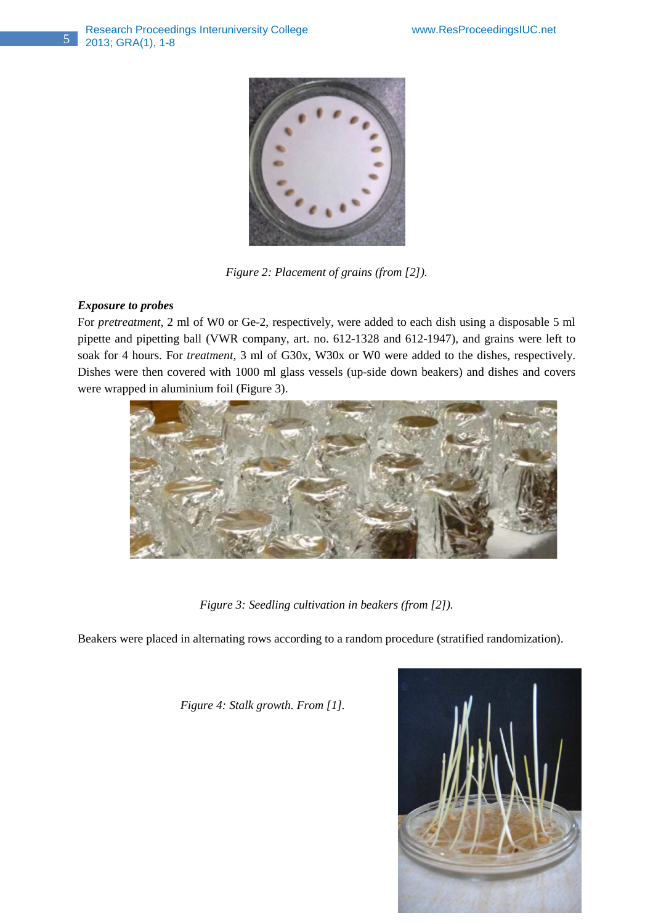

*Figure 2: Placement of grains (from [2]).* 

# *Exposure to probes*

For *pretreatment,* 2 ml of W0 or Ge-2, respectively, were added to each dish using a disposable 5 ml pipette and pipetting ball (VWR company, art. no. 612-1328 and 612-1947), and grains were left to soak for 4 hours. For *treatment,* 3 ml of G30x, W30x or W0 were added to the dishes, respectively. Dishes were then covered with 1000 ml glass vessels (up-side down beakers) and dishes and covers were wrapped in aluminium foil (Figure 3).



*Figure 3: Seedling cultivation in beakers (from [2]).* 

Beakers were placed in alternating rows according to a random procedure (stratified randomization).

 *Figure 4: Stalk growth. From [1].* 

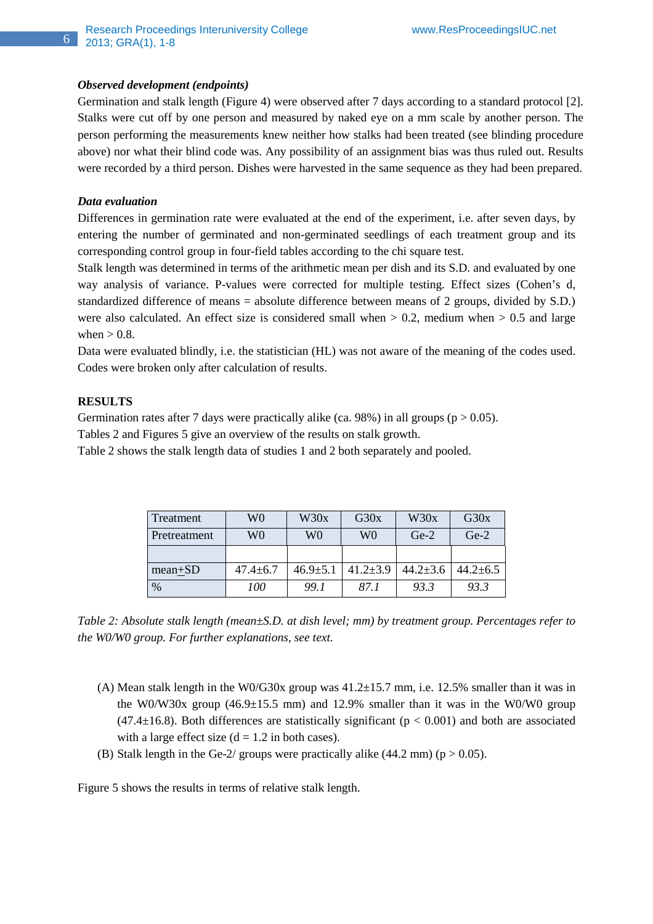#### *Observed development (endpoints)*

Germination and stalk length (Figure 4) were observed after 7 days according to a standard protocol [2]. Stalks were cut off by one person and measured by naked eye on a mm scale by another person. The person performing the measurements knew neither how stalks had been treated (see blinding procedure above) nor what their blind code was. Any possibility of an assignment bias was thus ruled out. Results were recorded by a third person. Dishes were harvested in the same sequence as they had been prepared.

#### *Data evaluation*

Differences in germination rate were evaluated at the end of the experiment, i.e. after seven days, by entering the number of germinated and non-germinated seedlings of each treatment group and its corresponding control group in four-field tables according to the chi square test.

Stalk length was determined in terms of the arithmetic mean per dish and its S.D. and evaluated by one way analysis of variance. P-values were corrected for multiple testing. Effect sizes (Cohen's d, standardized difference of means = absolute difference between means of 2 groups, divided by S.D.) were also calculated. An effect size is considered small when  $> 0.2$ , medium when  $> 0.5$  and large when  $> 0.8$ .

Data were evaluated blindly, i.e. the statistician (HL) was not aware of the meaning of the codes used. Codes were broken only after calculation of results.

## **RESULTS**

Germination rates after 7 days were practically alike (ca. 98%) in all groups ( $p > 0.05$ ).

Tables 2 and Figures 5 give an overview of the results on stalk growth.

Table 2 shows the stalk length data of studies 1 and 2 both separately and pooled.

| Treatment    | W0             | W30x           | G30x           | W30x           | G30x           |
|--------------|----------------|----------------|----------------|----------------|----------------|
| Pretreatment | W0             | W0             | W0             | $Ge-2$         | $Ge-2$         |
|              |                |                |                |                |                |
| $mean+SD$    | $47.4 \pm 6.7$ | $46.9 \pm 5.1$ | $41.2 \pm 3.9$ | $44.2 \pm 3.6$ | $44.2 \pm 6.5$ |
| $\%$         | 100            | 99.1           | 87 1           | 93.3           | 93.3           |

*Table 2: Absolute stalk length (mean±S.D. at dish level; mm) by treatment group. Percentages refer to the W0/W0 group. For further explanations, see text.* 

- (A) Mean stalk length in the W0/G30x group was  $41.2\pm15.7$  mm, i.e. 12.5% smaller than it was in the W0/W30x group  $(46.9\pm15.5 \text{ mm})$  and 12.9% smaller than it was in the W0/W0 group  $(47.4\pm16.8)$ . Both differences are statistically significant ( $p < 0.001$ ) and both are associated with a large effect size  $(d = 1.2$  in both cases).
- (B) Stalk length in the Ge-2/ groups were practically alike  $(44.2 \text{ mm})$  (p  $> 0.05$ ).

Figure 5 shows the results in terms of relative stalk length.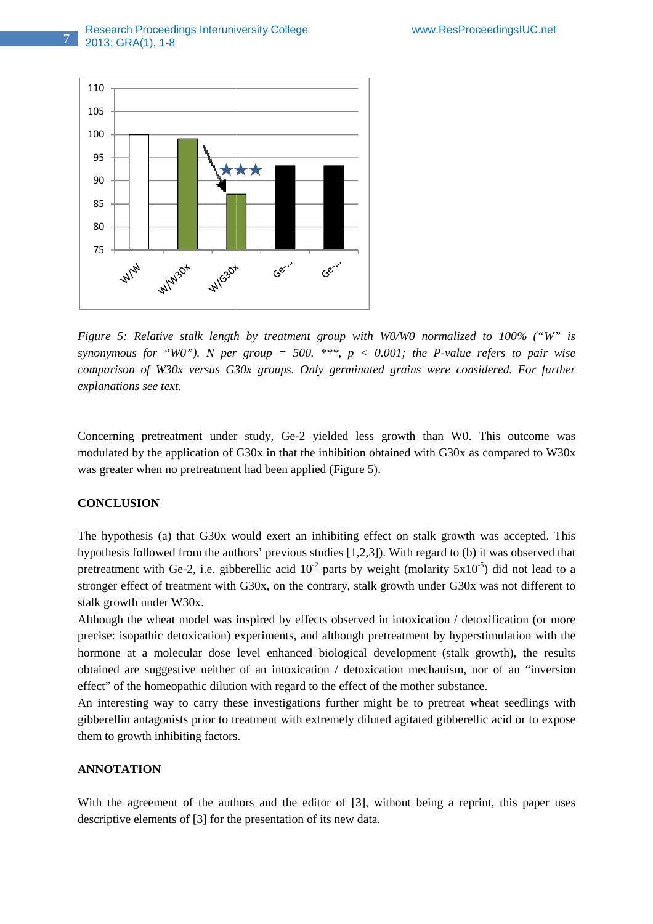

*Figure 5: Relative stalk length by treatment group with W0/W0 normalized to 100% ("W" is* synonymous for "WO"). N per group  $= 500$ . \*\*\*,  $p < 0.001$ ; the P-value refers to pair wise *comparison of W30x versus G30x groups. Only germinated grains were considered. For further explanations see text.* 

Concerning pretreatment under study, Ge-2 yielded less growth than W0. This outcome was modulated by the application of G30x in that the inhibition obtained with G30x as compared to W30x was greater when no pretreatment had been applied (Figure 5).

## **CONCLUSION**

The hypothesis (a) that G30x would exert an inhibiting effect on stalk growth was accepted. This hypothesis followed from the authors' previous studies [1,2,3]). With regard to (b) it was observed that pretreatment with Ge-2, i.e. gibberellic acid  $10^{-2}$  parts by weight (molarity  $5x10^{-5}$ ) did not lead to a stronger effect of treatment with G30x, on the contrary, stalk growth under G30x was not different to stalk growth under W30x.

Although the wheat model was inspired by effects observed in intoxication / detoxification (or more Although the wheat model was inspired by effects observed in intoxication / detoxification (or more precise: isopathic detoxication) experiments, and although pretreatment by hyperstimulation with the hormone at a molecular dose level enhanced biological development (stalk growth), the results obtained are suggestive neither of an intoxication / detoxication mechanism, nor of an "inversion effect" of the homeopathic dilution with regard to the effect of the mother substance.

An interesting way to carry these investigations further might be to pretreat wheat seedlings with gibberellin antagonists prior to treatment with extremely diluted agitated gibberellic acid or to expose them to growth inhibiting factors. beta are suggestive neither of an intoxication / detoxication mechanism, nor of an "inversion<br>fect" of the homeopathic dilution with regard to the effect of the mother substance.<br>In interesting way to carry these investiga

#### **ANNOTATION**

With the agreement of the authors and the editor of [3], descriptive elements of [3] for the presentation of its new data.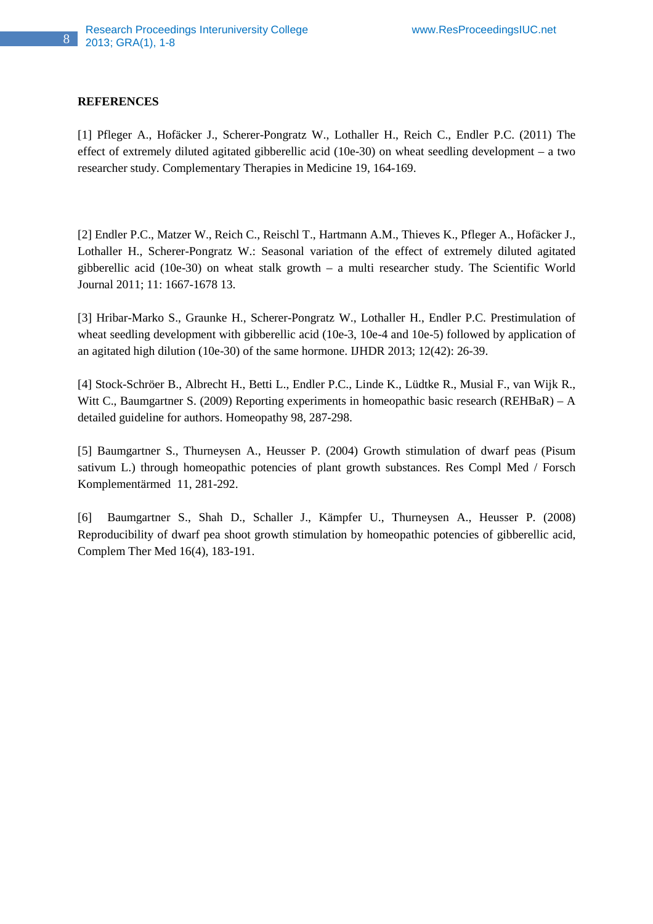#### **REFERENCES**

[1] Pfleger A., Hofäcker J., Scherer-Pongratz W., Lothaller H., Reich C., Endler P.C. (2011) The effect of extremely diluted agitated gibberellic acid (10e-30) on wheat seedling development – a two researcher study. Complementary Therapies in Medicine 19, 164-169.

[2] Endler P.C., Matzer W., Reich C., Reischl T., Hartmann A.M., Thieves K., Pfleger A., Hofäcker J., Lothaller H., Scherer-Pongratz W.: Seasonal variation of the effect of extremely diluted agitated gibberellic acid (10e-30) on wheat stalk growth – a multi researcher study. The Scientific World Journal 2011; 11: 1667-1678 13.

[3] Hribar-Marko S., Graunke H., Scherer-Pongratz W., Lothaller H., Endler P.C. Prestimulation of wheat seedling development with gibberellic acid (10e-3, 10e-4 and 10e-5) followed by application of an agitated high dilution (10e-30) of the same hormone. IJHDR 2013; 12(42): 26-39.

[4] Stock-Schröer B., Albrecht H., Betti L., Endler P.C., Linde K., Lüdtke R., Musial F., van Wijk R., Witt C., Baumgartner S. (2009) Reporting experiments in homeopathic basic research (REHBaR) – A detailed guideline for authors. Homeopathy 98, 287-298.

[5] Baumgartner S., Thurneysen A., Heusser P. (2004) Growth stimulation of dwarf peas (Pisum sativum L.) through homeopathic potencies of plant growth substances. Res Compl Med / Forsch Komplementärmed 11, 281-292.

[6] Baumgartner S., Shah D., Schaller J., Kämpfer U., Thurneysen A., Heusser P. (2008) Reproducibility of dwarf pea shoot growth stimulation by homeopathic potencies of gibberellic acid, Complem Ther Med 16(4), 183-191.